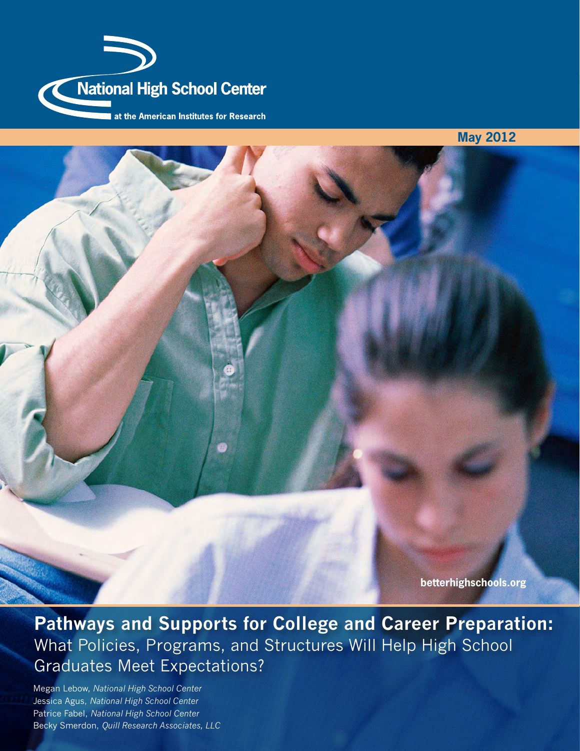

**May 2012**

**Pathways and Supports for College and Career Preparation:** What Policies, Programs, and Structures Will Help High School Graduates Meet Expectations?

Megan Lebow, *National High School Center* Jessica Agus, *National High School Center* Patrice Fabel, *National High School Center* Becky Smerdon, *Quill Research Associates, LLC*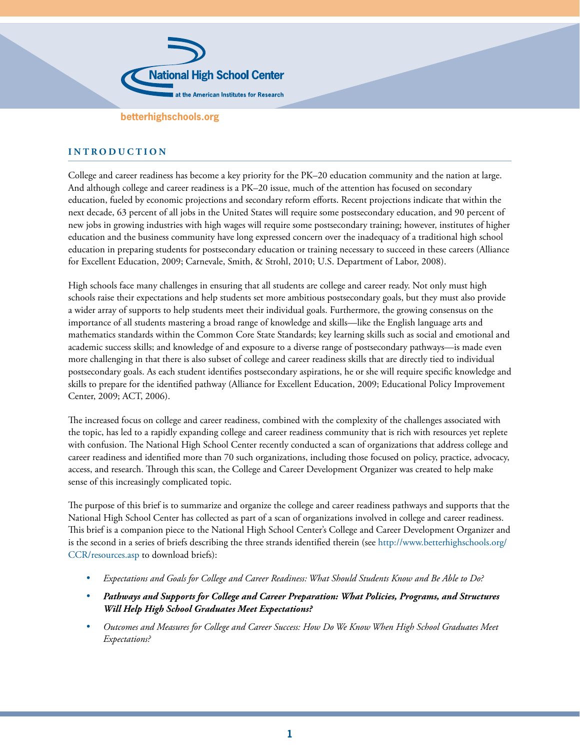

### **I N T R O D U C T I O N**

College and career readiness has become a key priority for the PK–20 education community and the nation at large. And although college and career readiness is a PK–20 issue, much of the attention has focused on secondary education, fueled by economic projections and secondary reform efforts. Recent projections indicate that within the next decade, 63 percent of all jobs in the United States will require some postsecondary education, and 90 percent of new jobs in growing industries with high wages will require some postsecondary training; however, institutes of higher education and the business community have long expressed concern over the inadequacy of a traditional high school education in preparing students for postsecondary education or training necessary to succeed in these careers (Alliance for Excellent Education, 2009; Carnevale, Smith, & Strohl, 2010; U.S. Department of Labor, 2008).

High schools face many challenges in ensuring that all students are college and career ready. Not only must high schools raise their expectations and help students set more ambitious postsecondary goals, but they must also provide a wider array of supports to help students meet their individual goals. Furthermore, the growing consensus on the importance of all students mastering a broad range of knowledge and skills—like the English language arts and mathematics standards within the Common Core State Standards; key learning skills such as social and emotional and academic success skills; and knowledge of and exposure to a diverse range of postsecondary pathways—is made even more challenging in that there is also subset of college and career readiness skills that are directly tied to individual postsecondary goals. As each student identifies postsecondary aspirations, he or she will require specific knowledge and skills to prepare for the identified pathway (Alliance for Excellent Education, 2009; Educational Policy Improvement Center, 2009; ACT, 2006).

The increased focus on college and career readiness, combined with the complexity of the challenges associated with the topic, has led to a rapidly expanding college and career readiness community that is rich with resources yet replete with confusion. The National High School Center recently conducted a scan of organizations that address college and career readiness and identified more than 70 such organizations, including those focused on policy, practice, advocacy, access, and research. Through this scan, the College and Career Development Organizer was created to help make sense of this increasingly complicated topic.

The purpose of this brief is to summarize and organize the college and career readiness pathways and supports that the National High School Center has collected as part of a scan of organizations involved in college and career readiness. This brief is a companion piece to the National High School Center's College and Career Development Organizer and is the second in a series of briefs describing the three strands identified therein (see [http://www.betterhighschools.org/](http://www.betterhighschools.org/CCR/resources.asp) [CCR/resources.asp](http://www.betterhighschools.org/CCR/resources.asp) to download briefs):

- *Expectations and Goals for College and Career Readiness: What Should Students Know and Be Able to Do?*
- *Pathways and Supports for College and Career Preparation: What Policies, Programs, and Structures Will Help High School Graduates Meet Expectations?*
- *Outcomes and Measures for College and Career Success: How Do We Know When High School Graduates Meet Expectations?*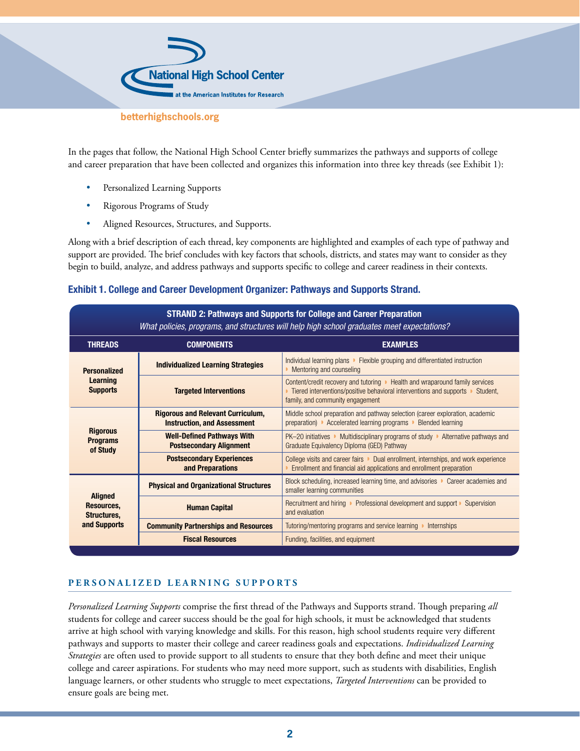

In the pages that follow, the National High School Center briefly summarizes the pathways and supports of college and career preparation that have been collected and organizes this information into three key threads (see Exhibit 1):

- Personalized Learning Supports
- Rigorous Programs of Study
- Aligned Resources, Structures, and Supports.

Along with a brief description of each thread, key components are highlighted and examples of each type of pathway and support are provided. The brief concludes with key factors that schools, districts, and states may want to consider as they begin to build, analyze, and address pathways and supports specific to college and career readiness in their contexts.

## **Exhibit 1. College and Career Development Organizer: Pathways and Supports Strand.**

| <b>STRAND 2: Pathways and Supports for College and Career Preparation</b><br>What policies, programs, and structures will help high school graduates meet expectations? |                                                                                |                                                                                                                                                                                                    |
|-------------------------------------------------------------------------------------------------------------------------------------------------------------------------|--------------------------------------------------------------------------------|----------------------------------------------------------------------------------------------------------------------------------------------------------------------------------------------------|
| <b>THREADS</b>                                                                                                                                                          | <b>COMPONENTS</b>                                                              | <b>EXAMPLES</b>                                                                                                                                                                                    |
| <b>Personalized</b><br><b>Learning</b><br><b>Supports</b>                                                                                                               | <b>Individualized Learning Strategies</b>                                      | Individual learning plans • Flexible grouping and differentiated instruction<br>Mentoring and counseling                                                                                           |
|                                                                                                                                                                         | <b>Targeted Interventions</b>                                                  | Content/credit recovery and tutoring • Health and wraparound family services<br>Tiered interventions/positive behavioral interventions and supports • Student,<br>family, and community engagement |
| <b>Rigorous</b><br><b>Programs</b><br>of Study                                                                                                                          | <b>Rigorous and Relevant Curriculum,</b><br><b>Instruction, and Assessment</b> | Middle school preparation and pathway selection (career exploration, academic<br>preparation) • Accelerated learning programs • Blended learning                                                   |
|                                                                                                                                                                         | <b>Well-Defined Pathways With</b><br><b>Postsecondary Alignment</b>            | $PK-20$ initiatives • Multidisciplinary programs of study • Alternative pathways and<br>Graduate Equivalency Diploma (GED) Pathway                                                                 |
|                                                                                                                                                                         | <b>Postsecondary Experiences</b><br>and Preparations                           | College visits and career fairs Dual enrollment, internships, and work experience<br>Enrollment and financial aid applications and enrollment preparation                                          |
| <b>Aligned</b><br>Resources,<br>Structures,<br>and Supports                                                                                                             | <b>Physical and Organizational Structures</b>                                  | Block scheduling, increased learning time, and advisories D Career academies and<br>smaller learning communities                                                                                   |
|                                                                                                                                                                         | <b>Human Capital</b>                                                           | Recruitment and hiring ▶ Professional development and support ▶ Supervision<br>and evaluation                                                                                                      |
|                                                                                                                                                                         | <b>Community Partnerships and Resources</b>                                    | Tutoring/mentoring programs and service learning ▶<br><b>Internships</b>                                                                                                                           |
|                                                                                                                                                                         | <b>Fiscal Resources</b>                                                        | Funding, facilities, and equipment                                                                                                                                                                 |

## **PERSONALIZED LEARNING SUPPORTS**

*Personalized Learning Supports* comprise the first thread of the Pathways and Supports strand. Though preparing *all* students for college and career success should be the goal for high schools, it must be acknowledged that students arrive at high school with varying knowledge and skills. For this reason, high school students require very different pathways and supports to master their college and career readiness goals and expectations. *Individualized Learning Strategies* are often used to provide support to all students to ensure that they both define and meet their unique college and career aspirations. For students who may need more support, such as students with disabilities, English language learners, or other students who struggle to meet expectations, *Targeted Interventions* can be provided to ensure goals are being met.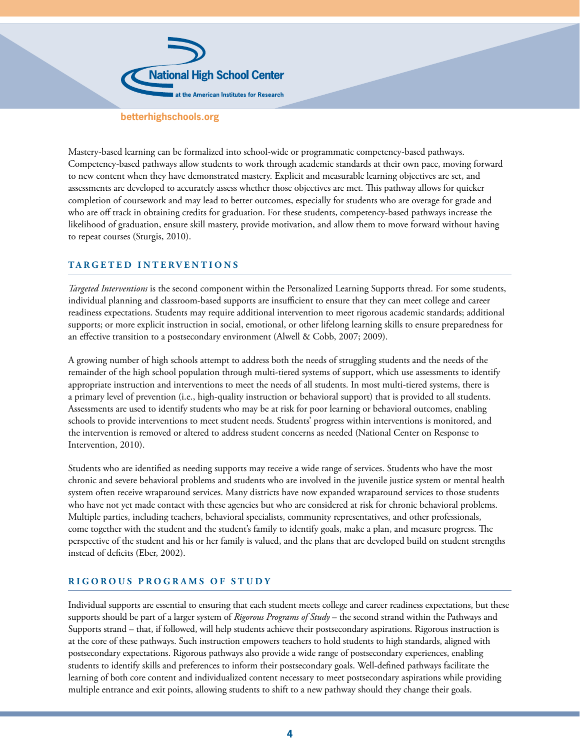

Mastery-based learning can be formalized into school-wide or programmatic competency-based pathways. Competency-based pathways allow students to work through academic standards at their own pace, moving forward to new content when they have demonstrated mastery. Explicit and measurable learning objectives are set, and assessments are developed to accurately assess whether those objectives are met. This pathway allows for quicker completion of coursework and may lead to better outcomes, especially for students who are overage for grade and who are off track in obtaining credits for graduation. For these students, competency-based pathways increase the likelihood of graduation, ensure skill mastery, provide motivation, and allow them to move forward without having to repeat courses (Sturgis, 2010).

#### **TARGETED INTERVENTIONS**

*Targeted Interventions* is the second component within the Personalized Learning Supports thread. For some students, individual planning and classroom-based supports are insufficient to ensure that they can meet college and career readiness expectations. Students may require additional intervention to meet rigorous academic standards; additional supports; or more explicit instruction in social, emotional, or other lifelong learning skills to ensure preparedness for an effective transition to a postsecondary environment (Alwell & Cobb, 2007; 2009).

A growing number of high schools attempt to address both the needs of struggling students and the needs of the remainder of the high school population through multi-tiered systems of support, which use assessments to identify appropriate instruction and interventions to meet the needs of all students. In most multi-tiered systems, there is a primary level of prevention (i.e., high-quality instruction or behavioral support) that is provided to all students. Assessments are used to identify students who may be at risk for poor learning or behavioral outcomes, enabling schools to provide interventions to meet student needs. Students' progress within interventions is monitored, and the intervention is removed or altered to address student concerns as needed (National Center on Response to Intervention, 2010).

Students who are identified as needing supports may receive a wide range of services. Students who have the most chronic and severe behavioral problems and students who are involved in the juvenile justice system or mental health system often receive wraparound services. Many districts have now expanded wraparound services to those students who have not yet made contact with these agencies but who are considered at risk for chronic behavioral problems. Multiple parties, including teachers, behavioral specialists, community representatives, and other professionals, come together with the student and the student's family to identify goals, make a plan, and measure progress. The perspective of the student and his or her family is valued, and the plans that are developed build on student strengths instead of deficits (Eber, 2002).

## **RIGOROUS PROGRAMS OF STUDY**

Individual supports are essential to ensuring that each student meets college and career readiness expectations, but these supports should be part of a larger system of *Rigorous Programs of Study* – the second strand within the Pathways and Supports strand – that, if followed, will help students achieve their postsecondary aspirations. Rigorous instruction is at the core of these pathways. Such instruction empowers teachers to hold students to high standards, aligned with postsecondary expectations. Rigorous pathways also provide a wide range of postsecondary experiences, enabling students to identify skills and preferences to inform their postsecondary goals. Well-defined pathways facilitate the learning of both core content and individualized content necessary to meet postsecondary aspirations while providing multiple entrance and exit points, allowing students to shift to a new pathway should they change their goals.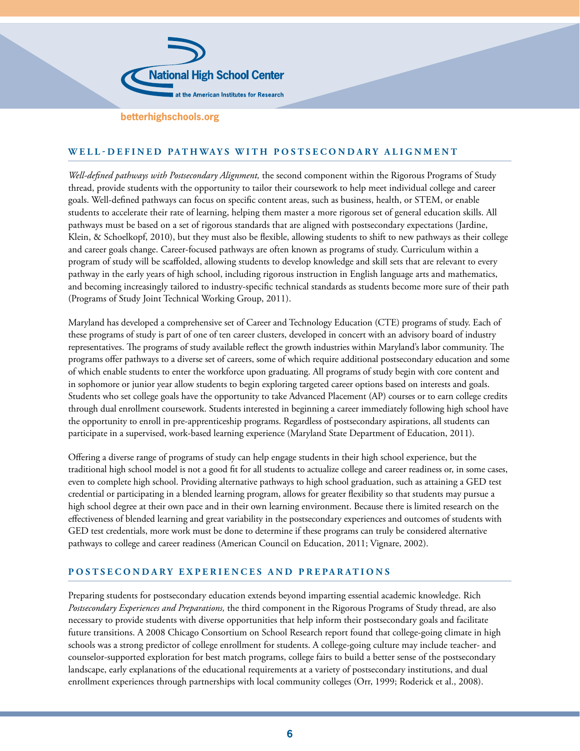

# **WELL-DEFINED PATHWAYS WITH POSTSECONDARY ALIGNMENT**

*Well-defined pathways with Postsecondary Alignment,* the second component within the Rigorous Programs of Study thread, provide students with the opportunity to tailor their coursework to help meet individual college and career goals. Well-defined pathways can focus on specific content areas, such as business, health, or STEM, or enable students to accelerate their rate of learning, helping them master a more rigorous set of general education skills. All pathways must be based on a set of rigorous standards that are aligned with postsecondary expectations (Jardine, Klein, & Schoelkopf, 2010), but they must also be flexible, allowing students to shift to new pathways as their college and career goals change. Career-focused pathways are often known as programs of study. Curriculum within a program of study will be scaffolded, allowing students to develop knowledge and skill sets that are relevant to every pathway in the early years of high school, including rigorous instruction in English language arts and mathematics, and becoming increasingly tailored to industry-specific technical standards as students become more sure of their path (Programs of Study Joint Technical Working Group, 2011).

Maryland has developed a comprehensive set of Career and Technology Education (CTE) programs of study. Each of these programs of study is part of one of ten career clusters, developed in concert with an advisory board of industry representatives. The programs of study available reflect the growth industries within Maryland's labor community. The programs offer pathways to a diverse set of careers, some of which require additional postsecondary education and some of which enable students to enter the workforce upon graduating. All programs of study begin with core content and in sophomore or junior year allow students to begin exploring targeted career options based on interests and goals. Students who set college goals have the opportunity to take Advanced Placement (AP) courses or to earn college credits through dual enrollment coursework. Students interested in beginning a career immediately following high school have the opportunity to enroll in pre-apprenticeship programs. Regardless of postsecondary aspirations, all students can participate in a supervised, work-based learning experience (Maryland State Department of Education, 2011).

Offering a diverse range of programs of study can help engage students in their high school experience, but the traditional high school model is not a good fit for all students to actualize college and career readiness or, in some cases, even to complete high school. Providing alternative pathways to high school graduation, such as attaining a GED test credential or participating in a blended learning program, allows for greater flexibility so that students may pursue a high school degree at their own pace and in their own learning environment. Because there is limited research on the effectiveness of blended learning and great variability in the postsecondary experiences and outcomes of students with GED test credentials, more work must be done to determine if these programs can truly be considered alternative pathways to college and career readiness (American Council on Education, 2011; Vignare, 2002).

## **POSTSECONDARY EXPERIENCES AND PREPARATIONS**

Preparing students for postsecondary education extends beyond imparting essential academic knowledge. Rich *Postsecondary Experiences and Preparations,* the third component in the Rigorous Programs of Study thread, are also necessary to provide students with diverse opportunities that help inform their postsecondary goals and facilitate future transitions. A 2008 Chicago Consortium on School Research report found that college-going climate in high schools was a strong predictor of college enrollment for students. A college-going culture may include teacher- and counselor-supported exploration for best match programs, college fairs to build a better sense of the postsecondary landscape, early explanations of the educational requirements at a variety of postsecondary institutions, and dual enrollment experiences through partnerships with local community colleges (Orr, 1999; Roderick et al., 2008).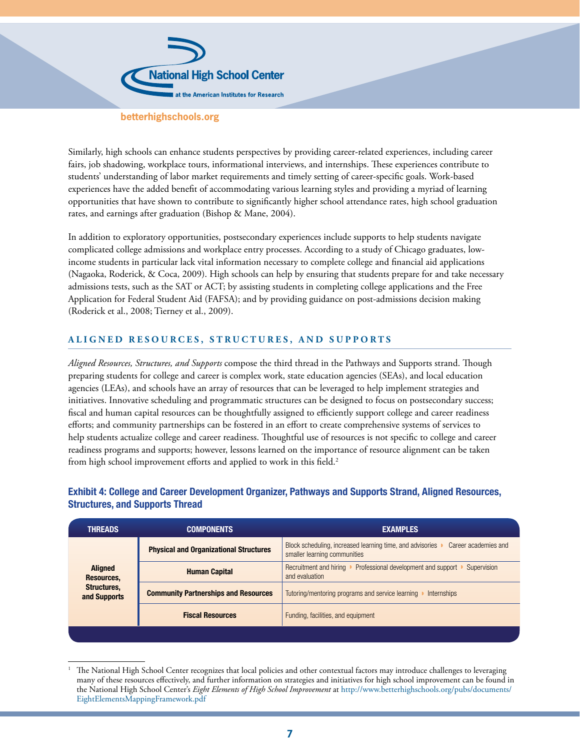

Similarly, high schools can enhance students perspectives by providing career-related experiences, including career fairs, job shadowing, workplace tours, informational interviews, and internships. These experiences contribute to students' understanding of labor market requirements and timely setting of career-specific goals. Work-based experiences have the added benefit of accommodating various learning styles and providing a myriad of learning opportunities that have shown to contribute to significantly higher school attendance rates, high school graduation rates, and earnings after graduation (Bishop & Mane, 2004).

In addition to exploratory opportunities, postsecondary experiences include supports to help students navigate complicated college admissions and workplace entry processes. According to a study of Chicago graduates, lowincome students in particular lack vital information necessary to complete college and financial aid applications (Nagaoka, Roderick, & Coca, 2009). High schools can help by ensuring that students prepare for and take necessary admissions tests, such as the SAT or ACT; by assisting students in completing college applications and the Free Application for Federal Student Aid (FAFSA); and by providing guidance on post-admissions decision making (Roderick et al., 2008; Tierney et al., 2009).

# **ALIGNED RESOURCES, STRUCTURES, AND SUPPORTS**

*Aligned Resources, Structures, and Supports* compose the third thread in the Pathways and Supports strand. Though preparing students for college and career is complex work, state education agencies (SEAs), and local education agencies (LEAs), and schools have an array of resources that can be leveraged to help implement strategies and initiatives. Innovative scheduling and programmatic structures can be designed to focus on postsecondary success; fiscal and human capital resources can be thoughtfully assigned to efficiently support college and career readiness efforts; and community partnerships can be fostered in an effort to create comprehensive systems of services to help students actualize college and career readiness. Thoughtful use of resources is not specific to college and career readiness programs and supports; however, lessons learned on the importance of resource alignment can be taken from high school improvement efforts and applied to work in this field.<sup>2</sup>

| <b>THREADS</b>                                              | <b>COMPONENTS</b>                             | <b>EXAMPLES</b>                                                                                                   |
|-------------------------------------------------------------|-----------------------------------------------|-------------------------------------------------------------------------------------------------------------------|
| <b>Aligned</b><br>Resources,<br>Structures,<br>and Supports | <b>Physical and Organizational Structures</b> | Block scheduling, increased learning time, and advisories<br>Career academies and<br>smaller learning communities |
|                                                             | <b>Human Capital</b>                          | Recruitment and hiring<br>Professional development and support<br>Supervision<br>and evaluation                   |
|                                                             | <b>Community Partnerships and Resources</b>   | Tutoring/mentoring programs and service learning<br><b>Internships</b>                                            |
|                                                             | <b>Fiscal Resources</b>                       | Funding, facilities, and equipment                                                                                |
|                                                             |                                               |                                                                                                                   |

# **Exhibit 4: College and Career Development Organizer, Pathways and Supports Strand, Aligned Resources, Structures, and Supports Thread**

<sup>1</sup> The National High School Center recognizes that local policies and other contextual factors may introduce challenges to leveraging many of these resources effectively, and further information on strategies and initiatives for high school improvement can be found in the National High School Center's *Eight Elements of High School Improvement* at [http://www.betterhighschools.org/pubs/documents/](http://www.betterhighschools.org/pubs/documents/EightElementsMappingFramework.pdf) [EightElementsMappingFramework.pdf](http://www.betterhighschools.org/pubs/documents/EightElementsMappingFramework.pdf)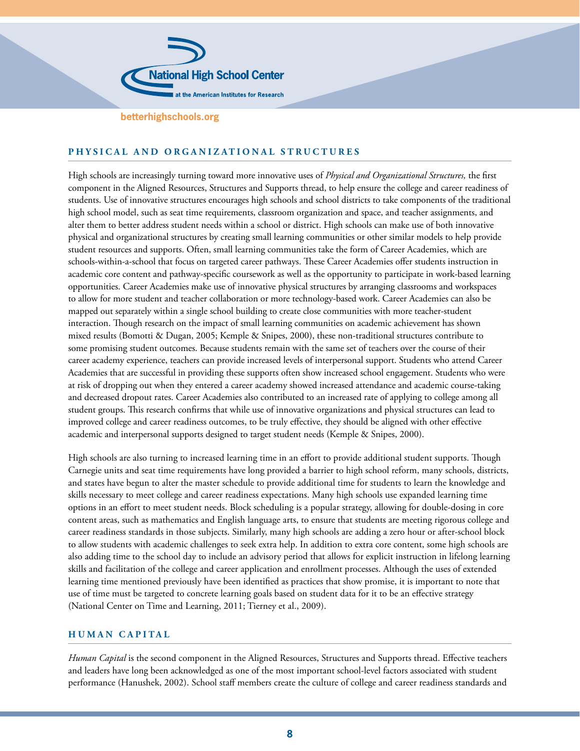

# **PHYSICAL AND ORGANIZATIONAL STRUCTURES**

High schools are increasingly turning toward more innovative uses of *Physical and Organizational Structures,* the first component in the Aligned Resources, Structures and Supports thread, to help ensure the college and career readiness of students. Use of innovative structures encourages high schools and school districts to take components of the traditional high school model, such as seat time requirements, classroom organization and space, and teacher assignments, and alter them to better address student needs within a school or district. High schools can make use of both innovative physical and organizational structures by creating small learning communities or other similar models to help provide student resources and supports. Often, small learning communities take the form of Career Academies, which are schools-within-a-school that focus on targeted career pathways. These Career Academies offer students instruction in academic core content and pathway-specific coursework as well as the opportunity to participate in work-based learning opportunities. Career Academies make use of innovative physical structures by arranging classrooms and workspaces to allow for more student and teacher collaboration or more technology-based work. Career Academies can also be mapped out separately within a single school building to create close communities with more teacher-student interaction. Though research on the impact of small learning communities on academic achievement has shown mixed results (Bomotti & Dugan, 2005; Kemple & Snipes, 2000), these non-traditional structures contribute to some promising student outcomes. Because students remain with the same set of teachers over the course of their career academy experience, teachers can provide increased levels of interpersonal support. Students who attend Career Academies that are successful in providing these supports often show increased school engagement. Students who were at risk of dropping out when they entered a career academy showed increased attendance and academic course-taking and decreased dropout rates. Career Academies also contributed to an increased rate of applying to college among all student groups. This research confirms that while use of innovative organizations and physical structures can lead to improved college and career readiness outcomes, to be truly effective, they should be aligned with other effective academic and interpersonal supports designed to target student needs (Kemple & Snipes, 2000).

High schools are also turning to increased learning time in an effort to provide additional student supports. Though Carnegie units and seat time requirements have long provided a barrier to high school reform, many schools, districts, and states have begun to alter the master schedule to provide additional time for students to learn the knowledge and skills necessary to meet college and career readiness expectations. Many high schools use expanded learning time options in an effort to meet student needs. Block scheduling is a popular strategy, allowing for double-dosing in core content areas, such as mathematics and English language arts, to ensure that students are meeting rigorous college and career readiness standards in those subjects. Similarly, many high schools are adding a zero hour or after-school block to allow students with academic challenges to seek extra help. In addition to extra core content, some high schools are also adding time to the school day to include an advisory period that allows for explicit instruction in lifelong learning skills and facilitation of the college and career application and enrollment processes. Although the uses of extended learning time mentioned previously have been identified as practices that show promise, it is important to note that use of time must be targeted to concrete learning goals based on student data for it to be an effective strategy (National Center on Time and Learning, 2011; Tierney et al., 2009).

## **HUMAN CAPITAL**

*Human Capital* is the second component in the Aligned Resources, Structures and Supports thread. Effective teachers and leaders have long been acknowledged as one of the most important school-level factors associated with student performance (Hanushek, 2002). School staff members create the culture of college and career readiness standards and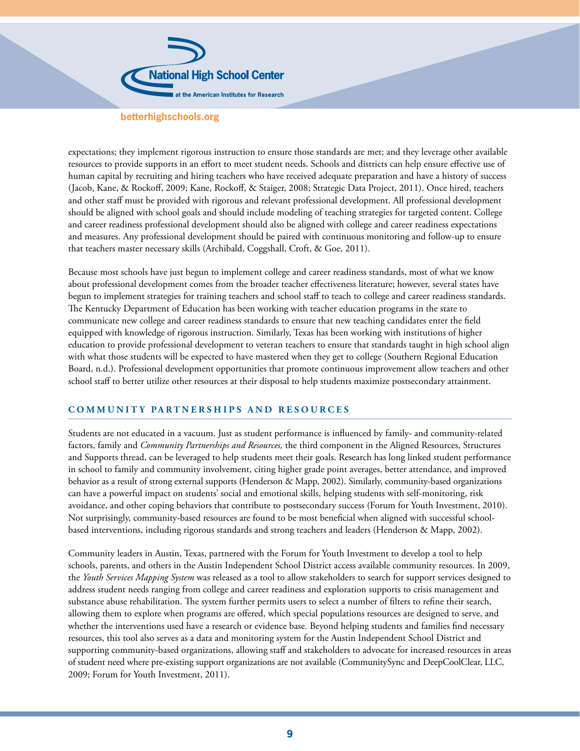

expectations; they implement rigorous instruction to ensure those standards are met; and they leverage other available resources to provide supports in an effort to meet student needs. Schools and districts can help ensure effective use of human capital by recruiting and hiring teachers who have received adequate preparation and have a history of success (Jacob, Kane, & Rockoff, 2009; Kane, Rockoff, & Staiger, 2008; Strategic Data Project, 2011). Once hired, teachers and other staff must be provided with rigorous and relevant professional development. All professional development should be aligned with school goals and should include modeling of teaching strategies for targeted content. College and career readiness professional development should also be aligned with college and career readiness expectations and measures. Any professional development should be paired with continuous monitoring and follow-up to ensure that teachers master necessary skills (Archibald, Coggshall, Croft, & Goe, 2011).

Because most schools have just begun to implement college and career readiness standards, most of what we know about professional development comes from the broader teacher effectiveness literature; however, several states have begun to implement strategies for training teachers and school staff to teach to college and career readiness standards. The Kentucky Department of Education has been working with teacher education programs in the state to communicate new college and career readiness standards to ensure that new teaching candidates enter the field equipped with knowledge of rigorous instruction. Similarly, Texas has been working with institutions of higher education to provide professional development to veteran teachers to ensure that standards taught in high school align with what those students will be expected to have mastered when they get to college (Southern Regional Education Board, n.d.). Professional development opportunities that promote continuous improvement allow teachers and other school staff to better utilize other resources at their disposal to help students maximize postsecondary attainment.

## **COMMUNITY PARTNERSHIPS AND RESOURCES**

Students are not educated in a vacuum. Just as student performance is influenced by family- and community-related factors, family and *Community Partnerships and Resources,* the third component in the Aligned Resources, Structures and Supports thread, can be leveraged to help students meet their goals. Research has long linked student performance in school to family and community involvement, citing higher grade point averages, better attendance, and improved behavior as a result of strong external supports (Henderson & Mapp, 2002). Similarly, community-based organizations can have a powerful impact on students' social and emotional skills, helping students with self-monitoring, risk avoidance, and other coping behaviors that contribute to postsecondary success (Forum for Youth Investment, 2010). Not surprisingly, community-based resources are found to be most beneficial when aligned with successful schoolbased interventions, including rigorous standards and strong teachers and leaders (Henderson & Mapp, 2002).

Community leaders in Austin, Texas, partnered with the Forum for Youth Investment to develop a tool to help schools, parents, and others in the Austin Independent School District access available community resources. In 2009, the *Youth Services Mapping System* was released as a tool to allow stakeholders to search for support services designed to address student needs ranging from college and career readiness and exploration supports to crisis management and substance abuse rehabilitation. The system further permits users to select a number of filters to refine their search, allowing them to explore when programs are offered, which special populations resources are designed to serve, and whether the interventions used have a research or evidence base. Beyond helping students and families find necessary resources, this tool also serves as a data and monitoring system for the Austin Independent School District and supporting community-based organizations, allowing staff and stakeholders to advocate for increased resources in areas of student need where pre-existing support organizations are not available (CommunitySync and DeepCoolClear, LLC, 2009; Forum for Youth Investment, 2011).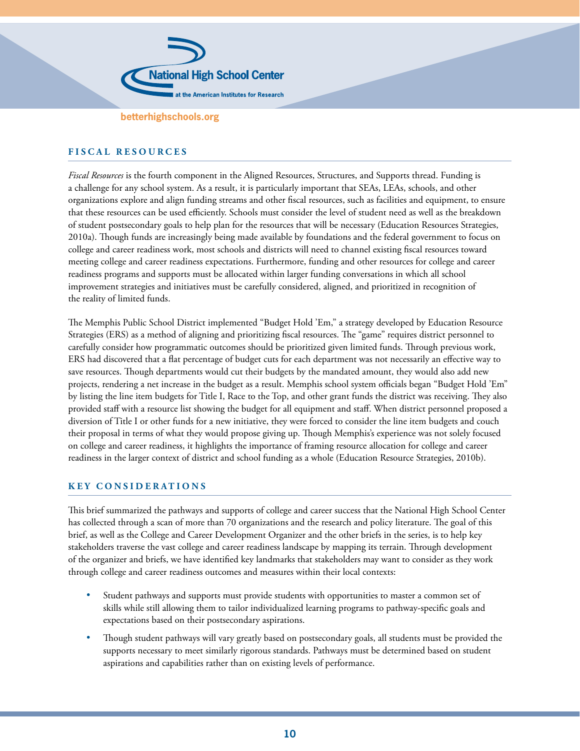

# **FISCAL RESOURCES**

*Fiscal Resources* is the fourth component in the Aligned Resources, Structures, and Supports thread. Funding is a challenge for any school system. As a result, it is particularly important that SEAs, LEAs, schools, and other organizations explore and align funding streams and other fiscal resources, such as facilities and equipment, to ensure that these resources can be used efficiently. Schools must consider the level of student need as well as the breakdown of student postsecondary goals to help plan for the resources that will be necessary (Education Resources Strategies, 2010a). Though funds are increasingly being made available by foundations and the federal government to focus on college and career readiness work, most schools and districts will need to channel existing fiscal resources toward meeting college and career readiness expectations. Furthermore, funding and other resources for college and career readiness programs and supports must be allocated within larger funding conversations in which all school improvement strategies and initiatives must be carefully considered, aligned, and prioritized in recognition of the reality of limited funds.

The Memphis Public School District implemented "Budget Hold 'Em," a strategy developed by Education Resource Strategies (ERS) as a method of aligning and prioritizing fiscal resources. The "game" requires district personnel to carefully consider how programmatic outcomes should be prioritized given limited funds. Through previous work, ERS had discovered that a flat percentage of budget cuts for each department was not necessarily an effective way to save resources. Though departments would cut their budgets by the mandated amount, they would also add new projects, rendering a net increase in the budget as a result. Memphis school system officials began "Budget Hold 'Em" by listing the line item budgets for Title I, Race to the Top, and other grant funds the district was receiving. They also provided staff with a resource list showing the budget for all equipment and staff. When district personnel proposed a diversion of Title I or other funds for a new initiative, they were forced to consider the line item budgets and couch their proposal in terms of what they would propose giving up. Though Memphis's experience was not solely focused on college and career readiness, it highlights the importance of framing resource allocation for college and career readiness in the larger context of district and school funding as a whole (Education Resource Strategies, 2010b).

#### **KEY CONSIDERATIONS**

This brief summarized the pathways and supports of college and career success that the National High School Center has collected through a scan of more than 70 organizations and the research and policy literature. The goal of this brief, as well as the College and Career Development Organizer and the other briefs in the series, is to help key stakeholders traverse the vast college and career readiness landscape by mapping its terrain. Through development of the organizer and briefs, we have identified key landmarks that stakeholders may want to consider as they work through college and career readiness outcomes and measures within their local contexts:

- Student pathways and supports must provide students with opportunities to master a common set of skills while still allowing them to tailor individualized learning programs to pathway-specific goals and expectations based on their postsecondary aspirations.
- Though student pathways will vary greatly based on postsecondary goals, all students must be provided the supports necessary to meet similarly rigorous standards. Pathways must be determined based on student aspirations and capabilities rather than on existing levels of performance.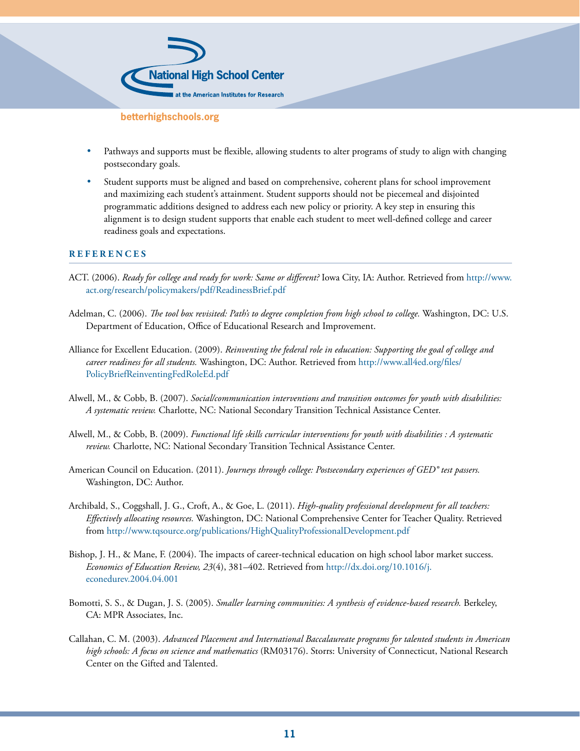

- Pathways and supports must be flexible, allowing students to alter programs of study to align with changing postsecondary goals.
- Student supports must be aligned and based on comprehensive, coherent plans for school improvement and maximizing each student's attainment. Student supports should not be piecemeal and disjointed programmatic additions designed to address each new policy or priority. A key step in ensuring this alignment is to design student supports that enable each student to meet well-defined college and career readiness goals and expectations.

#### **REFERENCES**

- ACT. (2006). *Ready for college and ready for work: Same or different?* Iowa City, IA: Author. Retrieved from [http://www.](http://www.act.org/research/policymakers/pdf/ReadinessBrief.pdf) [act.org/research/policymakers/pdf/ReadinessBrief.pdf](http://www.act.org/research/policymakers/pdf/ReadinessBrief.pdf)
- Adelman, C. (2006). *The tool box revisited: Path's to degree completion from high school to college.* Washington, DC: U.S. Department of Education, Office of Educational Research and Improvement.
- Alliance for Excellent Education. (2009). *Reinventing the federal role in education: Supporting the goal of college and career readiness for all students.* Washington, DC: Author. Retrieved from [http://www.all4ed.org/files/](http://www.all4ed.org/files/PolicyBriefReinventingFedRoleEd.pdf) [PolicyBriefReinventingFedRoleEd.pdf](http://www.all4ed.org/files/PolicyBriefReinventingFedRoleEd.pdf)
- Alwell, M., & Cobb, B. (2007). *Social/communication interventions and transition outcomes for youth with disabilities: A systematic review.* Charlotte, NC: National Secondary Transition Technical Assistance Center.
- Alwell, M., & Cobb, B. (2009). *Functional life skills curricular interventions for youth with disabilities : A systematic review.* Charlotte, NC: National Secondary Transition Technical Assistance Center.
- American Council on Education. (2011). *Journeys through college: Postsecondary experiences of GED® test passers.* Washington, DC: Author.
- Archibald, S., Coggshall, J. G., Croft, A., & Goe, L. (2011). *High-quality professional development for all teachers: Effectively allocating resources.* Washington, DC: National Comprehensive Center for Teacher Quality. Retrieved from <http://www.tqsource.org/publications/HighQualityProfessionalDevelopment.pdf>
- Bishop, J. H., & Mane, F. (2004). The impacts of career-technical education on high school labor market success. *Economics of Education Review, 23*(4), 381–402. Retrieved from [http://dx.doi.org/10.1016/j.](http://dx.doi.org/10.1016/j.econedurev.2004.04.001) [econedurev.2004.04.001](http://dx.doi.org/10.1016/j.econedurev.2004.04.001)
- Bomotti, S. S., & Dugan, J. S. (2005). *Smaller learning communities: A synthesis of evidence-based research.* Berkeley, CA: MPR Associates, Inc.
- Callahan, C. M. (2003). *Advanced Placement and International Baccalaureate programs for talented students in American high schools: A focus on science and mathematics* (RM03176). Storrs: University of Connecticut, National Research Center on the Gifted and Talented.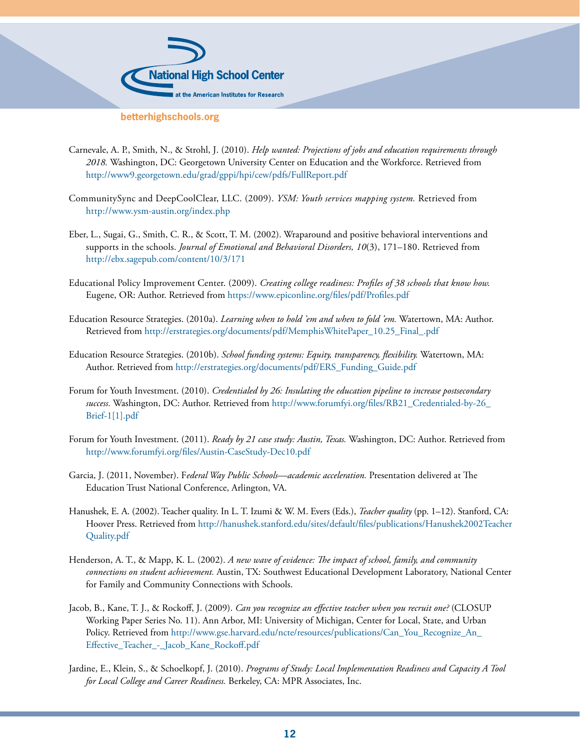

- Carnevale, A. P., Smith, N., & Strohl, J. (2010). *Help wanted: Projections of jobs and education requirements through 2018.* Washington, DC: Georgetown University Center on Education and the Workforce. Retrieved from <http://www9.georgetown.edu/grad/gppi/hpi/cew/pdfs/FullReport.pdf>
- CommunitySync and DeepCoolClear, LLC. (2009). *YSM: Youth services mapping system.* Retrieved from <http://www.ysm-austin.org/index.php>
- Eber, L., Sugai, G., Smith, C. R., & Scott, T. M. (2002). Wraparound and positive behavioral interventions and supports in the schools. *Journal of Emotional and Behavioral Disorders, 10*(3), 171–180. Retrieved from <http://ebx.sagepub.com/content/10/3/171>
- Educational Policy Improvement Center. (2009). *Creating college readiness: Profiles of 38 schools that know how.* Eugene, OR: Author. Retrieved from<https://www.epiconline.org/files/pdf/Profiles.pdf>
- Education Resource Strategies. (2010a). *Learning when to hold 'em and when to fold 'em.* Watertown, MA: Author. Retrieved from [http://erstrategies.org/documents/pdf/MemphisWhitePaper\\_10.25\\_Final\\_.pdf](http://erstrategies.org/documents/pdf/MemphisWhitePaper_10.25_Final_.pdf)
- Education Resource Strategies. (2010b). *School funding systems: Equity, transparency, flexibility.* Watertown, MA: Author. Retrieved from [http://erstrategies.org/documents/pdf/ERS\\_Funding\\_Guide.pdf](http://erstrategies.org/documents/pdf/ERS_Funding_Guide.pdf)
- Forum for Youth Investment. (2010). *Credentialed by 26: Insulating the education pipeline to increase postsecondary success.* Washington, DC: Author. Retrieved from [http://www.forumfyi.org/files/RB21\\_Credentialed-by-26\\_](http://www.forumfyi.org/files/RB21_Credentialed-by-26_Brief-1[1].pdf) [Brief-1\[1\].pdf](http://www.forumfyi.org/files/RB21_Credentialed-by-26_Brief-1[1].pdf)
- Forum for Youth Investment. (2011). *Ready by 21 case study: Austin, Texas.* Washington, DC: Author. Retrieved from <http://www.forumfyi.org/files/Austin-CaseStudy-Dec10.pdf>
- Garcia, J. (2011, November). F*ederal Way Public Schools—academic acceleration.* Presentation delivered at The Education Trust National Conference, Arlington, VA.
- Hanushek, E. A. (2002). Teacher quality. In L. T. Izumi & W. M. Evers (Eds.), *Teacher quality* (pp. 1–12). Stanford, CA: Hoover Press. Retrieved from [http://hanushek.stanford.edu/sites/default/files/publications/Hanushek2002Teacher](http://hanushek.stanford.edu/sites/default/files/publications/Hanushek2002Teacher Quality.pdf)  [Quality.pdf](http://hanushek.stanford.edu/sites/default/files/publications/Hanushek2002Teacher Quality.pdf)
- Henderson, A. T., & Mapp, K. L. (2002). *A new wave of evidence: The impact of school, family, and community connections on student achievement.* Austin, TX: Southwest Educational Development Laboratory, National Center for Family and Community Connections with Schools.
- Jacob, B., Kane, T. J., & Rockoff, J. (2009). *Can you recognize an effective teacher when you recruit one?* (CLOSUP Working Paper Series No. 11). Ann Arbor, MI: University of Michigan, Center for Local, State, and Urban Policy. Retrieved from [http://www.gse.harvard.edu/ncte/resources/publications/Can\\_You\\_Recognize\\_An\\_](http://www.gse.harvard.edu/ncte/resources/publications/Can_You_Recognize_An_Effective_Teacher_-_Jacob_Kane_Rockoff.pdf) [Effective\\_Teacher\\_-\\_Jacob\\_Kane\\_Rockoff.pdf](http://www.gse.harvard.edu/ncte/resources/publications/Can_You_Recognize_An_Effective_Teacher_-_Jacob_Kane_Rockoff.pdf)
- Jardine, E., Klein, S., & Schoelkopf, J. (2010). *Programs of Study: Local Implementation Readiness and Capacity A Tool for Local College and Career Readiness.* Berkeley, CA: MPR Associates, Inc.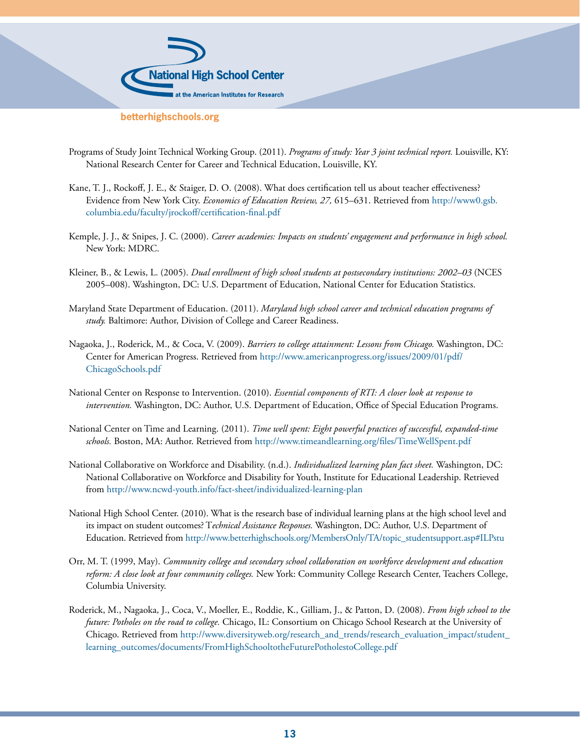

- Programs of Study Joint Technical Working Group. (2011). *Programs of study: Year 3 joint technical report.* Louisville, KY: National Research Center for Career and Technical Education, Louisville, KY.
- Kane, T. J., Rockoff, J. E., & Staiger, D. O. (2008). What does certification tell us about teacher effectiveness? Evidence from New York City. *Economics of Education Review, 27,* 615–631. Retrieved from [http://www0.gsb.](http://www0.gsb.columbia.edu/faculty/jrockoff/certification-final.pdf) [columbia.edu/faculty/jrockoff/certification-final.pdf](http://www0.gsb.columbia.edu/faculty/jrockoff/certification-final.pdf)
- Kemple, J. J., & Snipes, J. C. (2000). *Career academies: Impacts on students' engagement and performance in high school.* New York: MDRC.
- Kleiner, B., & Lewis, L. (2005). *Dual enrollment of high school students at postsecondary institutions: 2002–03* (NCES 2005–008). Washington, DC: U.S. Department of Education, National Center for Education Statistics.
- Maryland State Department of Education. (2011). *Maryland high school career and technical education programs of study.* Baltimore: Author, Division of College and Career Readiness.
- Nagaoka, J., Roderick, M., & Coca, V. (2009). *Barriers to college attainment: Lessons from Chicago.* Washington, DC: Center for American Progress. Retrieved from [http://www.americanprogress.org/issues/2009/01/pdf/](http://www.americanprogress.org/issues/2009/01/pdf/ChicagoSchools.pdf) [ChicagoSchools.pdf](http://www.americanprogress.org/issues/2009/01/pdf/ChicagoSchools.pdf)
- National Center on Response to Intervention. (2010). *Essential components of RTI: A closer look at response to intervention.* Washington, DC: Author, U.S. Department of Education, Office of Special Education Programs.
- National Center on Time and Learning. (2011). *Time well spent: Eight powerful practices of successful, expanded-time schools.* Boston, MA: Author. Retrieved from<http://www.timeandlearning.org/files/TimeWellSpent.pdf>
- National Collaborative on Workforce and Disability. (n.d.). *Individualized learning plan fact sheet.* Washington, DC: National Collaborative on Workforce and Disability for Youth, Institute for Educational Leadership. Retrieved from <http://www.ncwd-youth.info/fact-sheet/individualized-learning-plan>
- National High School Center. (2010). What is the research base of individual learning plans at the high school level and its impact on student outcomes? T*echnical Assistance Responses.* Washington, DC: Author, U.S. Department of Education. Retrieved from [http://www.betterhighschools.org/MembersOnly/TA/topic\\_studentsupport.asp#ILPstu](http://www.betterhighschools.org/MembersOnly/TA/topic_studentsupport.asp#ILPstu)
- Orr, M. T. (1999, May). *Community college and secondary school collaboration on workforce development and education reform: A close look at four community colleges.* New York: Community College Research Center, Teachers College, Columbia University.
- Roderick, M., Nagaoka, J., Coca, V., Moeller, E., Roddie, K., Gilliam, J., & Patton, D. (2008). *From high school to the future: Potholes on the road to college.* Chicago, IL: Consortium on Chicago School Research at the University of Chicago. Retrieved from [http://www.diversityweb.org/research\\_and\\_trends/research\\_evaluation\\_impact/student\\_](http://www.diversityweb.org/research_and_trends/research_evaluation_impact/student_learning_outcomes/documents/FromHighSchooltotheFuturePotholestoCollege.pdf) [learning\\_outcomes/documents/FromHighSchooltotheFuturePotholestoCollege.pdf](http://www.diversityweb.org/research_and_trends/research_evaluation_impact/student_learning_outcomes/documents/FromHighSchooltotheFuturePotholestoCollege.pdf)